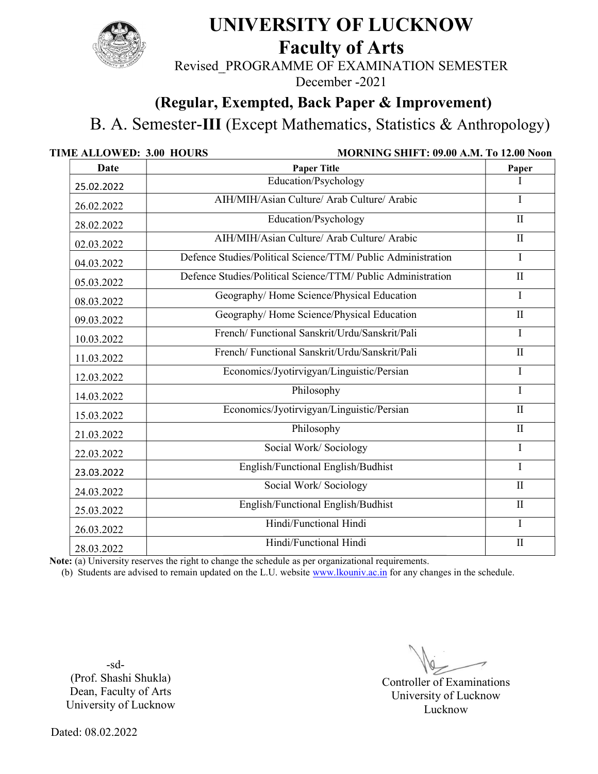

## UNIVERSITY OF LUCKNOW

Faculty of Arts

Revised PROGRAMME OF EXAMINATION SEMESTER

December -2021

## (Regular, Exempted, Back Paper & Improvement) Exempted, Back

B. A. Semester-III (Except Mathematics, Statistics &

| Date       | <b>Paper Title</b>                                                                                                                                                                                                      | Paper        |
|------------|-------------------------------------------------------------------------------------------------------------------------------------------------------------------------------------------------------------------------|--------------|
| 25.02.2022 | Education/Psychology                                                                                                                                                                                                    |              |
| 26.02.2022 | AIH/MIH/Asian Culture/ Arab Culture/ Arabic                                                                                                                                                                             | $\mathbf I$  |
| 28.02.2022 | Education/Psychology                                                                                                                                                                                                    | $\mathbf{I}$ |
| 02.03.2022 | AIH/MIH/Asian Culture/ Arab Culture/ Arabic                                                                                                                                                                             | $\mathbf{I}$ |
| 04.03.2022 | Defence Studies/Political Science/TTM/ Public Administration                                                                                                                                                            | $\mathbf I$  |
| 05.03.2022 | Defence Studies/Political Science/TTM/ Public Administration                                                                                                                                                            | $\mathbf{I}$ |
| 08.03.2022 | Geography/Home Science/Physical Education                                                                                                                                                                               | I            |
| 09.03.2022 | Geography/Home Science/Physical Education                                                                                                                                                                               | $\mathbf{I}$ |
| 10.03.2022 | French/Functional Sanskrit/Urdu/Sanskrit/Pali                                                                                                                                                                           | I            |
| 11.03.2022 | French/Functional Sanskrit/Urdu/Sanskrit/Pali                                                                                                                                                                           | $\mathbf{I}$ |
| 12.03.2022 | Economics/Jyotirvigyan/Linguistic/Persian                                                                                                                                                                               | I            |
| 14.03.2022 | Philosophy                                                                                                                                                                                                              | I            |
| 15.03.2022 | Economics/Jyotirvigyan/Linguistic/Persian                                                                                                                                                                               | $\mathbf{I}$ |
| 21.03.2022 | Philosophy                                                                                                                                                                                                              | $\mathbf{I}$ |
| 22.03.2022 | Social Work/ Sociology                                                                                                                                                                                                  | $\mathbf I$  |
| 23.03.2022 | English/Functional English/Budhist                                                                                                                                                                                      | $\mathbf I$  |
| 24.03.2022 | Social Work/ Sociology                                                                                                                                                                                                  | $\mathbf{I}$ |
| 25.03.2022 | English/Functional English/Budhist                                                                                                                                                                                      | $\rm II$     |
| 26.03.2022 | Hindi/Functional Hindi                                                                                                                                                                                                  | $\mathbf I$  |
| 28.03.2022 | Hindi/Functional Hindi                                                                                                                                                                                                  | $\mathbf{I}$ |
|            | Note: (a) University reserves the right to change the schedule as per organizational requirements.<br>(b) Students are advised to remain updated on the L.U. website www.lkouniv.ac.in for any changes in the schedule. |              |
| $-sd-$     |                                                                                                                                                                                                                         |              |

Controller of Examinations University of Lucknow Lucknow Lucknow